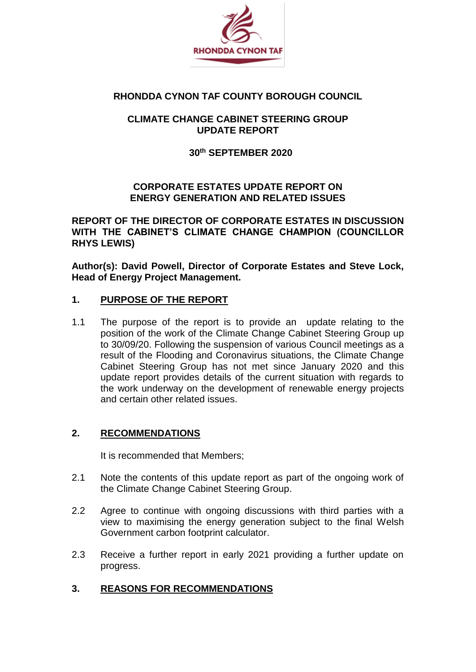

### **RHONDDA CYNON TAF COUNTY BOROUGH COUNCIL**

## **CLIMATE CHANGE CABINET STEERING GROUP UPDATE REPORT**

### **30th SEPTEMBER 2020**

## **CORPORATE ESTATES UPDATE REPORT ON ENERGY GENERATION AND RELATED ISSUES**

**REPORT OF THE DIRECTOR OF CORPORATE ESTATES IN DISCUSSION WITH THE CABINET'S CLIMATE CHANGE CHAMPION (COUNCILLOR RHYS LEWIS)**

**Author(s): David Powell, Director of Corporate Estates and Steve Lock, Head of Energy Project Management.**

## **1. PURPOSE OF THE REPORT**

1.1 The purpose of the report is to provide an update relating to the position of the work of the Climate Change Cabinet Steering Group up to 30/09/20. Following the suspension of various Council meetings as a result of the Flooding and Coronavirus situations, the Climate Change Cabinet Steering Group has not met since January 2020 and this update report provides details of the current situation with regards to the work underway on the development of renewable energy projects and certain other related issues.

# **2. RECOMMENDATIONS**

It is recommended that Members;

- 2.1 Note the contents of this update report as part of the ongoing work of the Climate Change Cabinet Steering Group.
- 2.2 Agree to continue with ongoing discussions with third parties with a view to maximising the energy generation subject to the final Welsh Government carbon footprint calculator.
- 2.3 Receive a further report in early 2021 providing a further update on progress.

### **3. REASONS FOR RECOMMENDATIONS**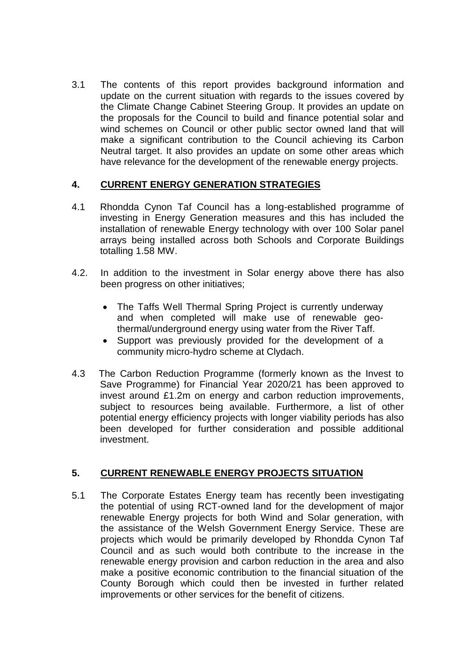3.1 The contents of this report provides background information and update on the current situation with regards to the issues covered by the Climate Change Cabinet Steering Group. It provides an update on the proposals for the Council to build and finance potential solar and wind schemes on Council or other public sector owned land that will make a significant contribution to the Council achieving its Carbon Neutral target. It also provides an update on some other areas which have relevance for the development of the renewable energy projects.

## **4. CURRENT ENERGY GENERATION STRATEGIES**

- 4.1 Rhondda Cynon Taf Council has a long-established programme of investing in Energy Generation measures and this has included the installation of renewable Energy technology with over 100 Solar panel arrays being installed across both Schools and Corporate Buildings totalling 1.58 MW.
- 4.2. In addition to the investment in Solar energy above there has also been progress on other initiatives;
	- The Taffs Well Thermal Spring Project is currently underway and when completed will make use of renewable geothermal/underground energy using water from the River Taff.
	- Support was previously provided for the development of a community micro-hydro scheme at Clydach.
- 4.3 The Carbon Reduction Programme (formerly known as the Invest to Save Programme) for Financial Year 2020/21 has been approved to invest around £1.2m on energy and carbon reduction improvements, subject to resources being available. Furthermore, a list of other potential energy efficiency projects with longer viability periods has also been developed for further consideration and possible additional investment.

# **5. CURRENT RENEWABLE ENERGY PROJECTS SITUATION**

5.1 The Corporate Estates Energy team has recently been investigating the potential of using RCT-owned land for the development of major renewable Energy projects for both Wind and Solar generation, with the assistance of the Welsh Government Energy Service. These are projects which would be primarily developed by Rhondda Cynon Taf Council and as such would both contribute to the increase in the renewable energy provision and carbon reduction in the area and also make a positive economic contribution to the financial situation of the County Borough which could then be invested in further related improvements or other services for the benefit of citizens.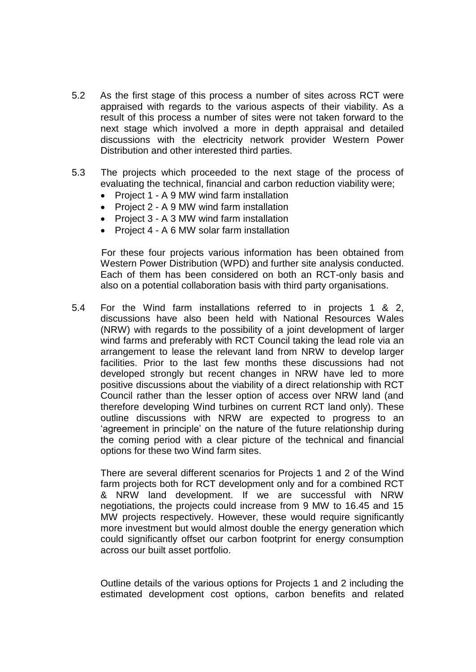- 5.2 As the first stage of this process a number of sites across RCT were appraised with regards to the various aspects of their viability. As a result of this process a number of sites were not taken forward to the next stage which involved a more in depth appraisal and detailed discussions with the electricity network provider Western Power Distribution and other interested third parties.
- 5.3 The projects which proceeded to the next stage of the process of evaluating the technical, financial and carbon reduction viability were;
	- Project 1 A 9 MW wind farm installation
	- Project 2 A 9 MW wind farm installation
	- Project 3 A 3 MW wind farm installation
	- Project 4 A 6 MW solar farm installation

 For these four projects various information has been obtained from Western Power Distribution (WPD) and further site analysis conducted. Each of them has been considered on both an RCT-only basis and also on a potential collaboration basis with third party organisations.

5.4 For the Wind farm installations referred to in projects 1 & 2, discussions have also been held with National Resources Wales (NRW) with regards to the possibility of a joint development of larger wind farms and preferably with RCT Council taking the lead role via an arrangement to lease the relevant land from NRW to develop larger facilities. Prior to the last few months these discussions had not developed strongly but recent changes in NRW have led to more positive discussions about the viability of a direct relationship with RCT Council rather than the lesser option of access over NRW land (and therefore developing Wind turbines on current RCT land only). These outline discussions with NRW are expected to progress to an 'agreement in principle' on the nature of the future relationship during the coming period with a clear picture of the technical and financial options for these two Wind farm sites.

There are several different scenarios for Projects 1 and 2 of the Wind farm projects both for RCT development only and for a combined RCT & NRW land development. If we are successful with NRW negotiations, the projects could increase from 9 MW to 16.45 and 15 MW projects respectively. However, these would require significantly more investment but would almost double the energy generation which could significantly offset our carbon footprint for energy consumption across our built asset portfolio.

Outline details of the various options for Projects 1 and 2 including the estimated development cost options, carbon benefits and related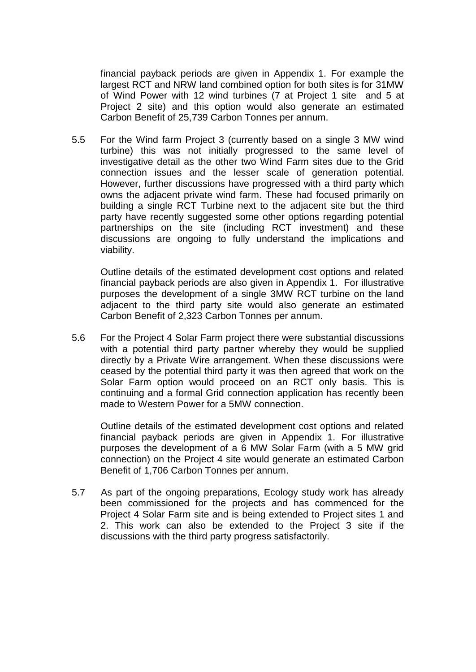financial payback periods are given in Appendix 1. For example the largest RCT and NRW land combined option for both sites is for 31MW of Wind Power with 12 wind turbines (7 at Project 1 site and 5 at Project 2 site) and this option would also generate an estimated Carbon Benefit of 25,739 Carbon Tonnes per annum.

5.5 For the Wind farm Project 3 (currently based on a single 3 MW wind turbine) this was not initially progressed to the same level of investigative detail as the other two Wind Farm sites due to the Grid connection issues and the lesser scale of generation potential. However, further discussions have progressed with a third party which owns the adjacent private wind farm. These had focused primarily on building a single RCT Turbine next to the adjacent site but the third party have recently suggested some other options regarding potential partnerships on the site (including RCT investment) and these discussions are ongoing to fully understand the implications and viability.

Outline details of the estimated development cost options and related financial payback periods are also given in Appendix 1. For illustrative purposes the development of a single 3MW RCT turbine on the land adjacent to the third party site would also generate an estimated Carbon Benefit of 2,323 Carbon Tonnes per annum.

5.6 For the Project 4 Solar Farm project there were substantial discussions with a potential third party partner whereby they would be supplied directly by a Private Wire arrangement. When these discussions were ceased by the potential third party it was then agreed that work on the Solar Farm option would proceed on an RCT only basis. This is continuing and a formal Grid connection application has recently been made to Western Power for a 5MW connection.

Outline details of the estimated development cost options and related financial payback periods are given in Appendix 1. For illustrative purposes the development of a 6 MW Solar Farm (with a 5 MW grid connection) on the Project 4 site would generate an estimated Carbon Benefit of 1,706 Carbon Tonnes per annum.

5.7 As part of the ongoing preparations, Ecology study work has already been commissioned for the projects and has commenced for the Project 4 Solar Farm site and is being extended to Project sites 1 and 2. This work can also be extended to the Project 3 site if the discussions with the third party progress satisfactorily.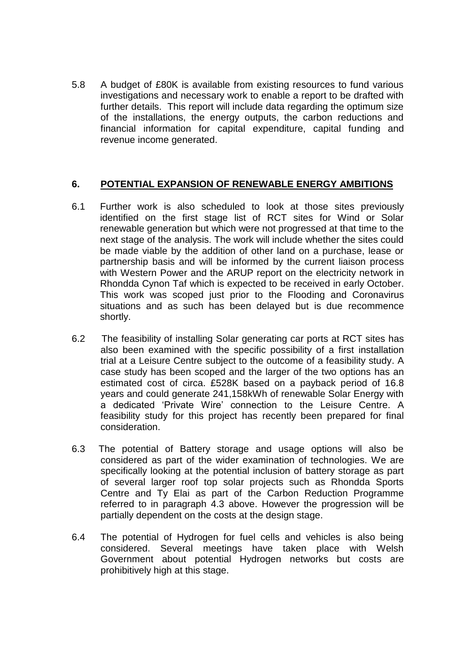5.8 A budget of £80K is available from existing resources to fund various investigations and necessary work to enable a report to be drafted with further details. This report will include data regarding the optimum size of the installations, the energy outputs, the carbon reductions and financial information for capital expenditure, capital funding and revenue income generated.

## **6. POTENTIAL EXPANSION OF RENEWABLE ENERGY AMBITIONS**

- 6.1 Further work is also scheduled to look at those sites previously identified on the first stage list of RCT sites for Wind or Solar renewable generation but which were not progressed at that time to the next stage of the analysis. The work will include whether the sites could be made viable by the addition of other land on a purchase, lease or partnership basis and will be informed by the current liaison process with Western Power and the ARUP report on the electricity network in Rhondda Cynon Taf which is expected to be received in early October. This work was scoped just prior to the Flooding and Coronavirus situations and as such has been delayed but is due recommence shortly.
- 6.2 The feasibility of installing Solar generating car ports at RCT sites has also been examined with the specific possibility of a first installation trial at a Leisure Centre subject to the outcome of a feasibility study. A case study has been scoped and the larger of the two options has an estimated cost of circa. £528K based on a payback period of 16.8 years and could generate 241,158kWh of renewable Solar Energy with a dedicated 'Private Wire' connection to the Leisure Centre. A feasibility study for this project has recently been prepared for final consideration.
- 6.3 The potential of Battery storage and usage options will also be considered as part of the wider examination of technologies. We are specifically looking at the potential inclusion of battery storage as part of several larger roof top solar projects such as Rhondda Sports Centre and Ty Elai as part of the Carbon Reduction Programme referred to in paragraph 4.3 above. However the progression will be partially dependent on the costs at the design stage.
- 6.4 The potential of Hydrogen for fuel cells and vehicles is also being considered. Several meetings have taken place with Welsh Government about potential Hydrogen networks but costs are prohibitively high at this stage.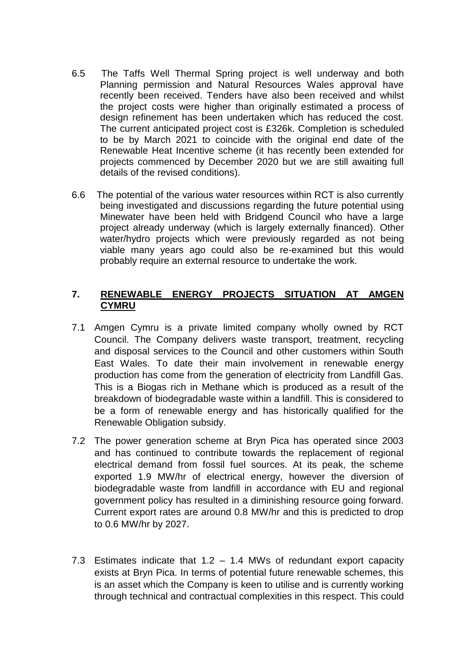- 6.5 The Taffs Well Thermal Spring project is well underway and both Planning permission and Natural Resources Wales approval have recently been received. Tenders have also been received and whilst the project costs were higher than originally estimated a process of design refinement has been undertaken which has reduced the cost. The current anticipated project cost is £326k. Completion is scheduled to be by March 2021 to coincide with the original end date of the Renewable Heat Incentive scheme (it has recently been extended for projects commenced by December 2020 but we are still awaiting full details of the revised conditions).
- 6.6 The potential of the various water resources within RCT is also currently being investigated and discussions regarding the future potential using Minewater have been held with Bridgend Council who have a large project already underway (which is largely externally financed). Other water/hydro projects which were previously regarded as not being viable many years ago could also be re-examined but this would probably require an external resource to undertake the work.

## **7. RENEWABLE ENERGY PROJECTS SITUATION AT AMGEN CYMRU**

- 7.1 Amgen Cymru is a private limited company wholly owned by RCT Council. The Company delivers waste transport, treatment, recycling and disposal services to the Council and other customers within South East Wales. To date their main involvement in renewable energy production has come from the generation of electricity from Landfill Gas. This is a Biogas rich in Methane which is produced as a result of the breakdown of biodegradable waste within a landfill. This is considered to be a form of renewable energy and has historically qualified for the Renewable Obligation subsidy.
- 7.2 The power generation scheme at Bryn Pica has operated since 2003 and has continued to contribute towards the replacement of regional electrical demand from fossil fuel sources. At its peak, the scheme exported 1.9 MW/hr of electrical energy, however the diversion of biodegradable waste from landfill in accordance with EU and regional government policy has resulted in a diminishing resource going forward. Current export rates are around 0.8 MW/hr and this is predicted to drop to 0.6 MW/hr by 2027.
- 7.3 Estimates indicate that 1.2 1.4 MWs of redundant export capacity exists at Bryn Pica. In terms of potential future renewable schemes, this is an asset which the Company is keen to utilise and is currently working through technical and contractual complexities in this respect. This could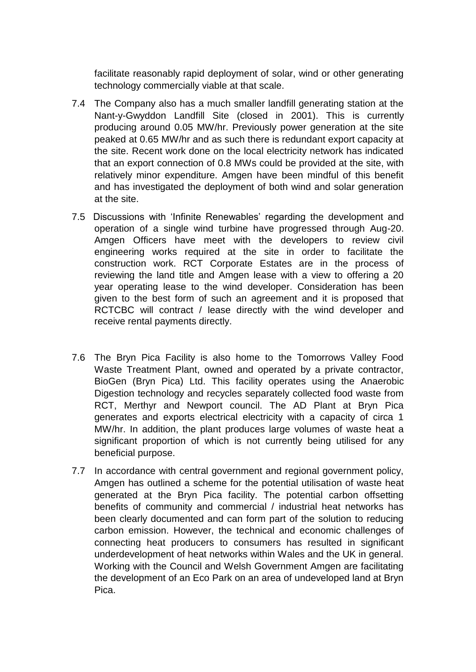facilitate reasonably rapid deployment of solar, wind or other generating technology commercially viable at that scale.

- 7.4 The Company also has a much smaller landfill generating station at the Nant-y-Gwyddon Landfill Site (closed in 2001). This is currently producing around 0.05 MW/hr. Previously power generation at the site peaked at 0.65 MW/hr and as such there is redundant export capacity at the site. Recent work done on the local electricity network has indicated that an export connection of 0.8 MWs could be provided at the site, with relatively minor expenditure. Amgen have been mindful of this benefit and has investigated the deployment of both wind and solar generation at the site.
- 7.5 Discussions with 'Infinite Renewables' regarding the development and operation of a single wind turbine have progressed through Aug-20. Amgen Officers have meet with the developers to review civil engineering works required at the site in order to facilitate the construction work. RCT Corporate Estates are in the process of reviewing the land title and Amgen lease with a view to offering a 20 year operating lease to the wind developer. Consideration has been given to the best form of such an agreement and it is proposed that RCTCBC will contract / lease directly with the wind developer and receive rental payments directly.
- 7.6 The Bryn Pica Facility is also home to the Tomorrows Valley Food Waste Treatment Plant, owned and operated by a private contractor, BioGen (Bryn Pica) Ltd. This facility operates using the Anaerobic Digestion technology and recycles separately collected food waste from RCT, Merthyr and Newport council. The AD Plant at Bryn Pica generates and exports electrical electricity with a capacity of circa 1 MW/hr. In addition, the plant produces large volumes of waste heat a significant proportion of which is not currently being utilised for any beneficial purpose.
- 7.7 In accordance with central government and regional government policy, Amgen has outlined a scheme for the potential utilisation of waste heat generated at the Bryn Pica facility. The potential carbon offsetting benefits of community and commercial / industrial heat networks has been clearly documented and can form part of the solution to reducing carbon emission. However, the technical and economic challenges of connecting heat producers to consumers has resulted in significant underdevelopment of heat networks within Wales and the UK in general. Working with the Council and Welsh Government Amgen are facilitating the development of an Eco Park on an area of undeveloped land at Bryn Pica.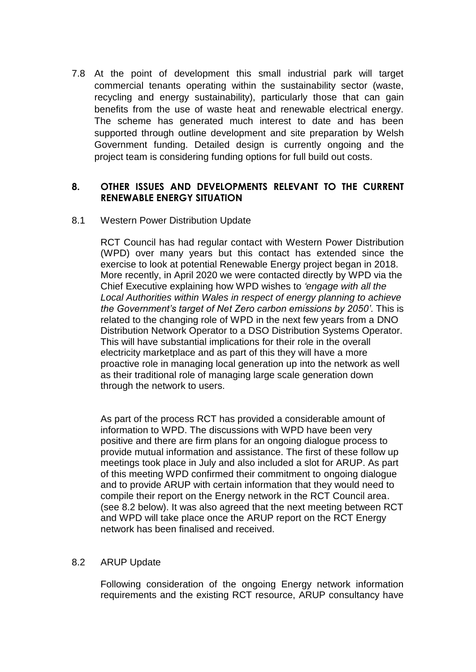7.8 At the point of development this small industrial park will target commercial tenants operating within the sustainability sector (waste, recycling and energy sustainability), particularly those that can gain benefits from the use of waste heat and renewable electrical energy. The scheme has generated much interest to date and has been supported through outline development and site preparation by Welsh Government funding. Detailed design is currently ongoing and the project team is considering funding options for full build out costs.

### **8. OTHER ISSUES AND DEVELOPMENTS RELEVANT TO THE CURRENT RENEWABLE ENERGY SITUATION**

#### 8.1 Western Power Distribution Update

RCT Council has had regular contact with Western Power Distribution (WPD) over many years but this contact has extended since the exercise to look at potential Renewable Energy project began in 2018. More recently, in April 2020 we were contacted directly by WPD via the Chief Executive explaining how WPD wishes to *'engage with all the Local Authorities within Wales in respect of energy planning to achieve the Government's target of Net Zero carbon emissions by 2050'*. This is related to the changing role of WPD in the next few years from a DNO Distribution Network Operator to a DSO Distribution Systems Operator. This will have substantial implications for their role in the overall electricity marketplace and as part of this they will have a more proactive role in managing local generation up into the network as well as their traditional role of managing large scale generation down through the network to users.

As part of the process RCT has provided a considerable amount of information to WPD. The discussions with WPD have been very positive and there are firm plans for an ongoing dialogue process to provide mutual information and assistance. The first of these follow up meetings took place in July and also included a slot for ARUP. As part of this meeting WPD confirmed their commitment to ongoing dialogue and to provide ARUP with certain information that they would need to compile their report on the Energy network in the RCT Council area. (see 8.2 below). It was also agreed that the next meeting between RCT and WPD will take place once the ARUP report on the RCT Energy network has been finalised and received.

### 8.2 ARUP Update

Following consideration of the ongoing Energy network information requirements and the existing RCT resource, ARUP consultancy have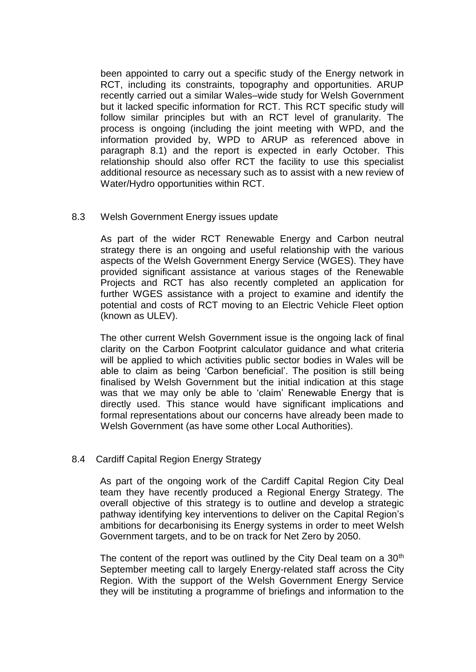been appointed to carry out a specific study of the Energy network in RCT, including its constraints, topography and opportunities. ARUP recently carried out a similar Wales–wide study for Welsh Government but it lacked specific information for RCT. This RCT specific study will follow similar principles but with an RCT level of granularity. The process is ongoing (including the joint meeting with WPD, and the information provided by, WPD to ARUP as referenced above in paragraph 8.1) and the report is expected in early October. This relationship should also offer RCT the facility to use this specialist additional resource as necessary such as to assist with a new review of Water/Hydro opportunities within RCT.

#### 8.3 Welsh Government Energy issues update

As part of the wider RCT Renewable Energy and Carbon neutral strategy there is an ongoing and useful relationship with the various aspects of the Welsh Government Energy Service (WGES). They have provided significant assistance at various stages of the Renewable Projects and RCT has also recently completed an application for further WGES assistance with a project to examine and identify the potential and costs of RCT moving to an Electric Vehicle Fleet option (known as ULEV).

The other current Welsh Government issue is the ongoing lack of final clarity on the Carbon Footprint calculator guidance and what criteria will be applied to which activities public sector bodies in Wales will be able to claim as being 'Carbon beneficial'. The position is still being finalised by Welsh Government but the initial indication at this stage was that we may only be able to 'claim' Renewable Energy that is directly used. This stance would have significant implications and formal representations about our concerns have already been made to Welsh Government (as have some other Local Authorities).

### 8.4 Cardiff Capital Region Energy Strategy

As part of the ongoing work of the Cardiff Capital Region City Deal team they have recently produced a Regional Energy Strategy. The overall objective of this strategy is to outline and develop a strategic pathway identifying key interventions to deliver on the Capital Region's ambitions for decarbonising its Energy systems in order to meet Welsh Government targets, and to be on track for Net Zero by 2050.

The content of the report was outlined by the City Deal team on a  $30<sup>th</sup>$ September meeting call to largely Energy-related staff across the City Region. With the support of the Welsh Government Energy Service they will be instituting a programme of briefings and information to the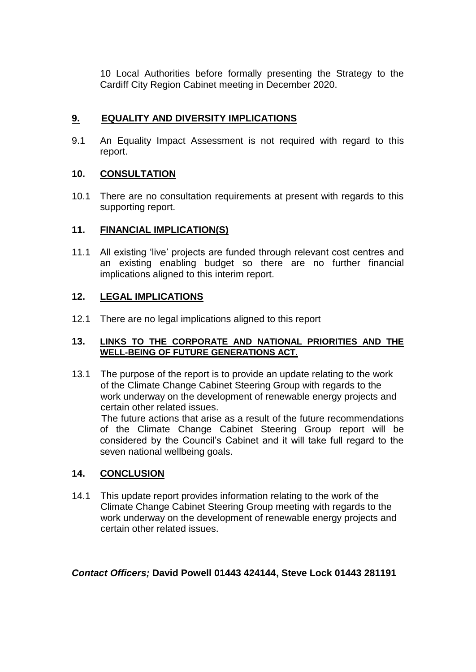10 Local Authorities before formally presenting the Strategy to the Cardiff City Region Cabinet meeting in December 2020.

# **9. EQUALITY AND DIVERSITY IMPLICATIONS**

9.1 An Equality Impact Assessment is not required with regard to this report.

# **10. CONSULTATION**

10.1 There are no consultation requirements at present with regards to this supporting report.

## **11. FINANCIAL IMPLICATION(S)**

11.1 All existing 'live' projects are funded through relevant cost centres and an existing enabling budget so there are no further financial implications aligned to this interim report.

## **12. LEGAL IMPLICATIONS**

12.1 There are no legal implications aligned to this report

#### **13. LINKS TO THE CORPORATE AND NATIONAL PRIORITIES AND THE WELL-BEING OF FUTURE GENERATIONS ACT.**

13.1 The purpose of the report is to provide an update relating to the work of the Climate Change Cabinet Steering Group with regards to the work underway on the development of renewable energy projects and certain other related issues.

 The future actions that arise as a result of the future recommendations of the Climate Change Cabinet Steering Group report will be considered by the Council's Cabinet and it will take full regard to the seven national wellbeing goals.

# **14. CONCLUSION**

14.1 This update report provides information relating to the work of the Climate Change Cabinet Steering Group meeting with regards to the work underway on the development of renewable energy projects and certain other related issues.

*Contact Officers;* **David Powell 01443 424144, Steve Lock 01443 281191**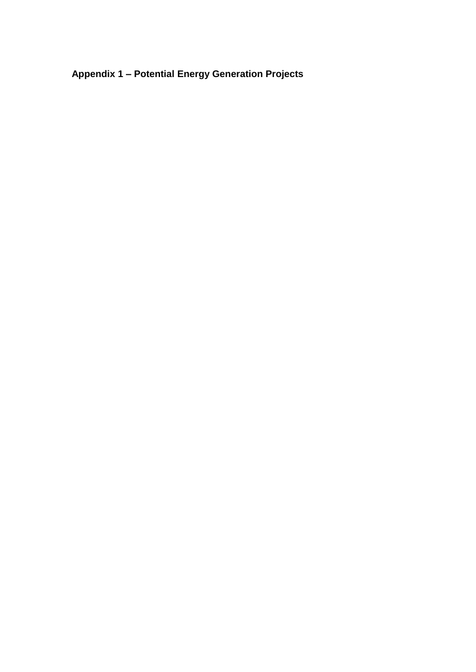**Appendix 1 – Potential Energy Generation Projects**